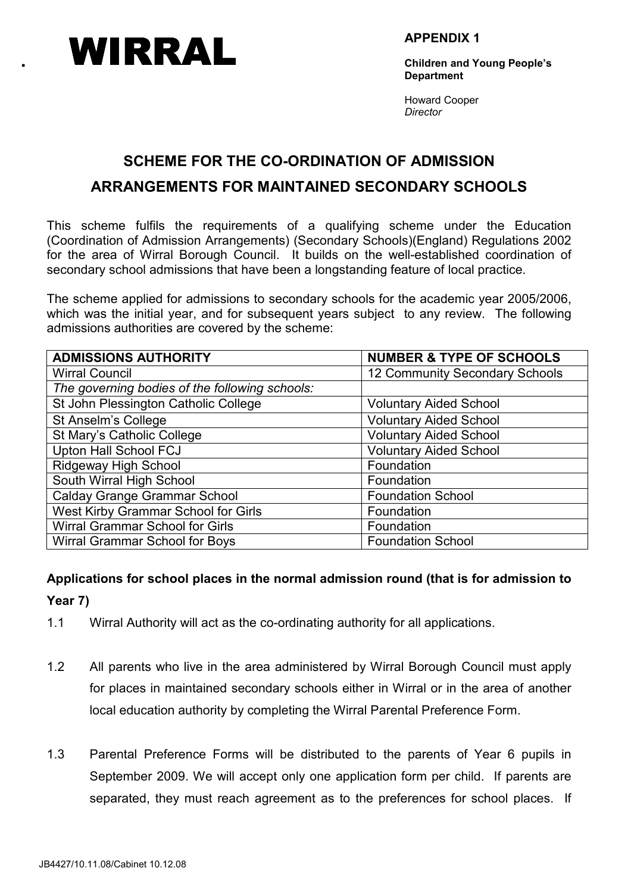

APPENDIX 1

Children and Young People's **Department** 

Howard Cooper **Director** 

# SCHEME FOR THE CO-ORDINATION OF ADMISSION ARRANGEMENTS FOR MAINTAINED SECONDARY SCHOOLS

This scheme fulfils the requirements of a qualifying scheme under the Education (Coordination of Admission Arrangements) (Secondary Schools)(England) Regulations 2002 for the area of Wirral Borough Council. It builds on the well-established coordination of secondary school admissions that have been a longstanding feature of local practice.

The scheme applied for admissions to secondary schools for the academic year 2005/2006, which was the initial year, and for subsequent years subject to any review. The following admissions authorities are covered by the scheme:

| <b>ADMISSIONS AUTHORITY</b>                    | <b>NUMBER &amp; TYPE OF SCHOOLS</b> |
|------------------------------------------------|-------------------------------------|
| <b>Wirral Council</b>                          | 12 Community Secondary Schools      |
| The governing bodies of the following schools: |                                     |
| St John Plessington Catholic College           | <b>Voluntary Aided School</b>       |
| St Anselm's College                            | <b>Voluntary Aided School</b>       |
| St Mary's Catholic College                     | <b>Voluntary Aided School</b>       |
| <b>Upton Hall School FCJ</b>                   | <b>Voluntary Aided School</b>       |
| Ridgeway High School                           | Foundation                          |
| South Wirral High School                       | Foundation                          |
| <b>Calday Grange Grammar School</b>            | <b>Foundation School</b>            |
| West Kirby Grammar School for Girls            | Foundation                          |
| Wirral Grammar School for Girls                | Foundation                          |
| Wirral Grammar School for Boys                 | <b>Foundation School</b>            |

## Applications for school places in the normal admission round (that is for admission to Year 7)

- 1.1 Wirral Authority will act as the co-ordinating authority for all applications.
- 1.2 All parents who live in the area administered by Wirral Borough Council must apply for places in maintained secondary schools either in Wirral or in the area of another local education authority by completing the Wirral Parental Preference Form.
- 1.3 Parental Preference Forms will be distributed to the parents of Year 6 pupils in September 2009. We will accept only one application form per child. If parents are separated, they must reach agreement as to the preferences for school places. If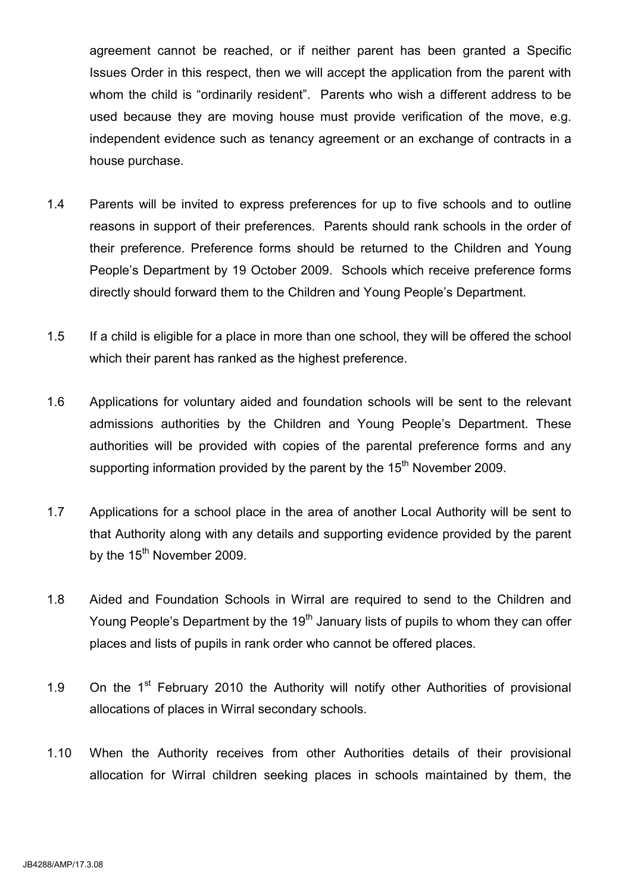agreement cannot be reached, or if neither parent has been granted a Specific Issues Order in this respect, then we will accept the application from the parent with whom the child is "ordinarily resident". Parents who wish a different address to be used because they are moving house must provide verification of the move, e.g. independent evidence such as tenancy agreement or an exchange of contracts in a house purchase.

- 1.4 Parents will be invited to express preferences for up to five schools and to outline reasons in support of their preferences. Parents should rank schools in the order of their preference. Preference forms should be returned to the Children and Young People's Department by 19 October 2009. Schools which receive preference forms directly should forward them to the Children and Young People's Department.
- 1.5 If a child is eligible for a place in more than one school, they will be offered the school which their parent has ranked as the highest preference.
- 1.6 Applications for voluntary aided and foundation schools will be sent to the relevant admissions authorities by the Children and Young People's Department. These authorities will be provided with copies of the parental preference forms and any supporting information provided by the parent by the  $15<sup>th</sup>$  November 2009.
- 1.7 Applications for a school place in the area of another Local Authority will be sent to that Authority along with any details and supporting evidence provided by the parent by the 15<sup>th</sup> November 2009.
- 1.8 Aided and Foundation Schools in Wirral are required to send to the Children and Young People's Department by the  $19<sup>th</sup>$  January lists of pupils to whom they can offer places and lists of pupils in rank order who cannot be offered places.
- 1.9 On the  $1<sup>st</sup>$  February 2010 the Authority will notify other Authorities of provisional allocations of places in Wirral secondary schools.
- 1.10 When the Authority receives from other Authorities details of their provisional allocation for Wirral children seeking places in schools maintained by them, the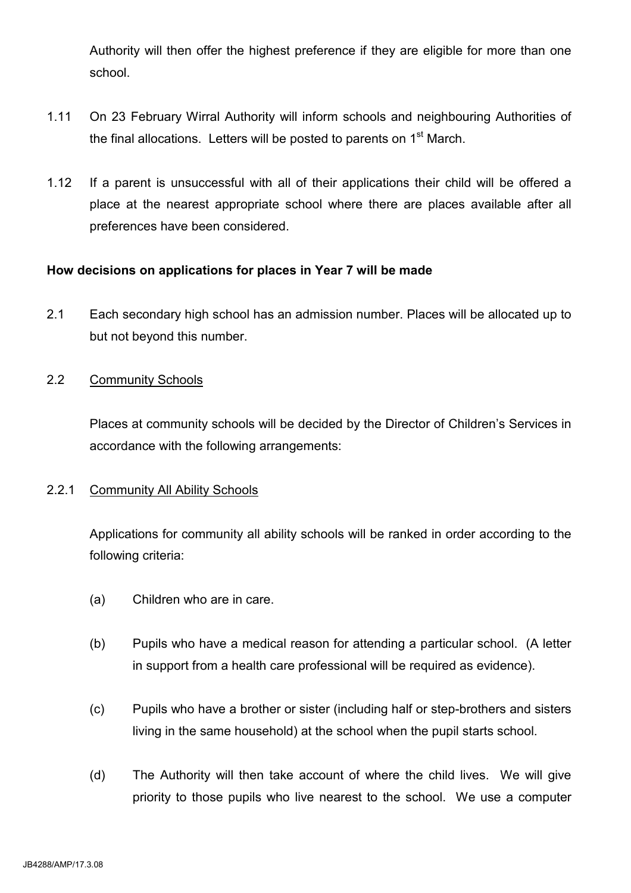Authority will then offer the highest preference if they are eligible for more than one school.

- 1.11 On 23 February Wirral Authority will inform schools and neighbouring Authorities of the final allocations. Letters will be posted to parents on  $1<sup>st</sup>$  March.
- 1.12 If a parent is unsuccessful with all of their applications their child will be offered a place at the nearest appropriate school where there are places available after all preferences have been considered.

#### How decisions on applications for places in Year 7 will be made

2.1 Each secondary high school has an admission number. Places will be allocated up to but not beyond this number.

## 2.2 Community Schools

 Places at community schools will be decided by the Director of Children's Services in accordance with the following arrangements:

#### 2.2.1 Community All Ability Schools

 Applications for community all ability schools will be ranked in order according to the following criteria:

- (a) Children who are in care.
- (b) Pupils who have a medical reason for attending a particular school. (A letter in support from a health care professional will be required as evidence).
- (c) Pupils who have a brother or sister (including half or step-brothers and sisters living in the same household) at the school when the pupil starts school.
- (d) The Authority will then take account of where the child lives. We will give priority to those pupils who live nearest to the school. We use a computer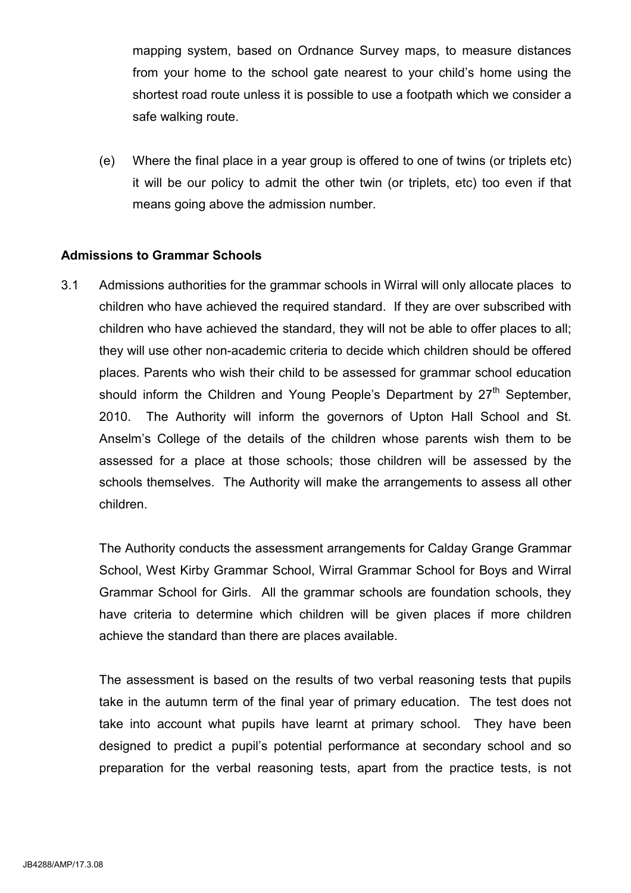mapping system, based on Ordnance Survey maps, to measure distances from your home to the school gate nearest to your child's home using the shortest road route unless it is possible to use a footpath which we consider a safe walking route.

(e) Where the final place in a year group is offered to one of twins (or triplets etc) it will be our policy to admit the other twin (or triplets, etc) too even if that means going above the admission number.

#### Admissions to Grammar Schools

3.1 Admissions authorities for the grammar schools in Wirral will only allocate places to children who have achieved the required standard. If they are over subscribed with children who have achieved the standard, they will not be able to offer places to all; they will use other non-academic criteria to decide which children should be offered places. Parents who wish their child to be assessed for grammar school education should inform the Children and Young People's Department by  $27<sup>th</sup>$  September, 2010. The Authority will inform the governors of Upton Hall School and St. Anselm's College of the details of the children whose parents wish them to be assessed for a place at those schools; those children will be assessed by the schools themselves. The Authority will make the arrangements to assess all other children.

The Authority conducts the assessment arrangements for Calday Grange Grammar School, West Kirby Grammar School, Wirral Grammar School for Boys and Wirral Grammar School for Girls. All the grammar schools are foundation schools, they have criteria to determine which children will be given places if more children achieve the standard than there are places available.

The assessment is based on the results of two verbal reasoning tests that pupils take in the autumn term of the final year of primary education. The test does not take into account what pupils have learnt at primary school. They have been designed to predict a pupil's potential performance at secondary school and so preparation for the verbal reasoning tests, apart from the practice tests, is not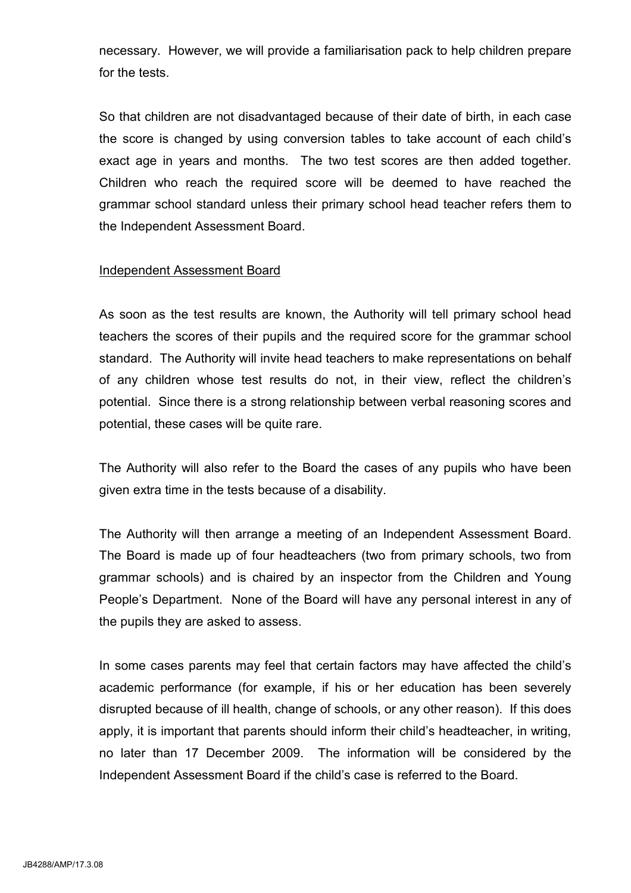necessary. However, we will provide a familiarisation pack to help children prepare for the tests.

So that children are not disadvantaged because of their date of birth, in each case the score is changed by using conversion tables to take account of each child's exact age in years and months. The two test scores are then added together. Children who reach the required score will be deemed to have reached the grammar school standard unless their primary school head teacher refers them to the Independent Assessment Board.

#### Independent Assessment Board

As soon as the test results are known, the Authority will tell primary school head teachers the scores of their pupils and the required score for the grammar school standard. The Authority will invite head teachers to make representations on behalf of any children whose test results do not, in their view, reflect the children's potential. Since there is a strong relationship between verbal reasoning scores and potential, these cases will be quite rare.

 The Authority will also refer to the Board the cases of any pupils who have been given extra time in the tests because of a disability.

The Authority will then arrange a meeting of an Independent Assessment Board. The Board is made up of four headteachers (two from primary schools, two from grammar schools) and is chaired by an inspector from the Children and Young People's Department. None of the Board will have any personal interest in any of the pupils they are asked to assess.

 In some cases parents may feel that certain factors may have affected the child's academic performance (for example, if his or her education has been severely disrupted because of ill health, change of schools, or any other reason). If this does apply, it is important that parents should inform their child's headteacher, in writing, no later than 17 December 2009. The information will be considered by the Independent Assessment Board if the child's case is referred to the Board.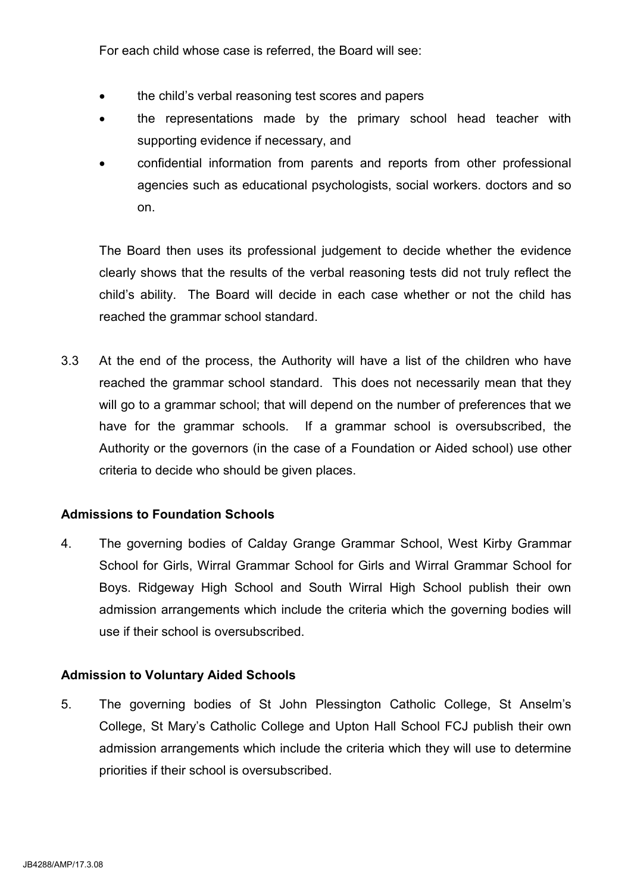For each child whose case is referred, the Board will see:

- the child's verbal reasoning test scores and papers
- the representations made by the primary school head teacher with supporting evidence if necessary, and
- confidential information from parents and reports from other professional agencies such as educational psychologists, social workers. doctors and so on.

The Board then uses its professional judgement to decide whether the evidence clearly shows that the results of the verbal reasoning tests did not truly reflect the child's ability. The Board will decide in each case whether or not the child has reached the grammar school standard.

3.3 At the end of the process, the Authority will have a list of the children who have reached the grammar school standard. This does not necessarily mean that they will go to a grammar school; that will depend on the number of preferences that we have for the grammar schools. If a grammar school is oversubscribed, the Authority or the governors (in the case of a Foundation or Aided school) use other criteria to decide who should be given places.

#### Admissions to Foundation Schools

4. The governing bodies of Calday Grange Grammar School, West Kirby Grammar School for Girls, Wirral Grammar School for Girls and Wirral Grammar School for Boys. Ridgeway High School and South Wirral High School publish their own admission arrangements which include the criteria which the governing bodies will use if their school is oversubscribed.

#### Admission to Voluntary Aided Schools

5. The governing bodies of St John Plessington Catholic College, St Anselm's College, St Mary's Catholic College and Upton Hall School FCJ publish their own admission arrangements which include the criteria which they will use to determine priorities if their school is oversubscribed.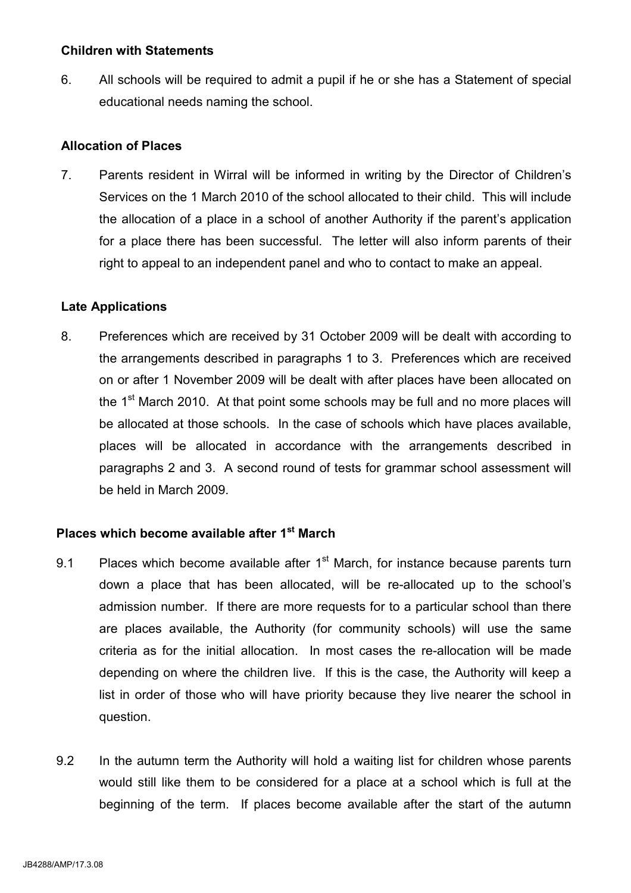#### Children with Statements

6. All schools will be required to admit a pupil if he or she has a Statement of special educational needs naming the school.

#### Allocation of Places

7. Parents resident in Wirral will be informed in writing by the Director of Children's Services on the 1 March 2010 of the school allocated to their child. This will include the allocation of a place in a school of another Authority if the parent's application for a place there has been successful. The letter will also inform parents of their right to appeal to an independent panel and who to contact to make an appeal.

## Late Applications

8. Preferences which are received by 31 October 2009 will be dealt with according to the arrangements described in paragraphs 1 to 3. Preferences which are received on or after 1 November 2009 will be dealt with after places have been allocated on the 1<sup>st</sup> March 2010. At that point some schools may be full and no more places will be allocated at those schools. In the case of schools which have places available, places will be allocated in accordance with the arrangements described in paragraphs 2 and 3. A second round of tests for grammar school assessment will be held in March 2009.

# Places which become available after 1<sup>st</sup> March

- 9.1 Places which become available after  $1<sup>st</sup>$  March, for instance because parents turn down a place that has been allocated, will be re-allocated up to the school's admission number. If there are more requests for to a particular school than there are places available, the Authority (for community schools) will use the same criteria as for the initial allocation. In most cases the re-allocation will be made depending on where the children live. If this is the case, the Authority will keep a list in order of those who will have priority because they live nearer the school in question.
- 9.2 In the autumn term the Authority will hold a waiting list for children whose parents would still like them to be considered for a place at a school which is full at the beginning of the term. If places become available after the start of the autumn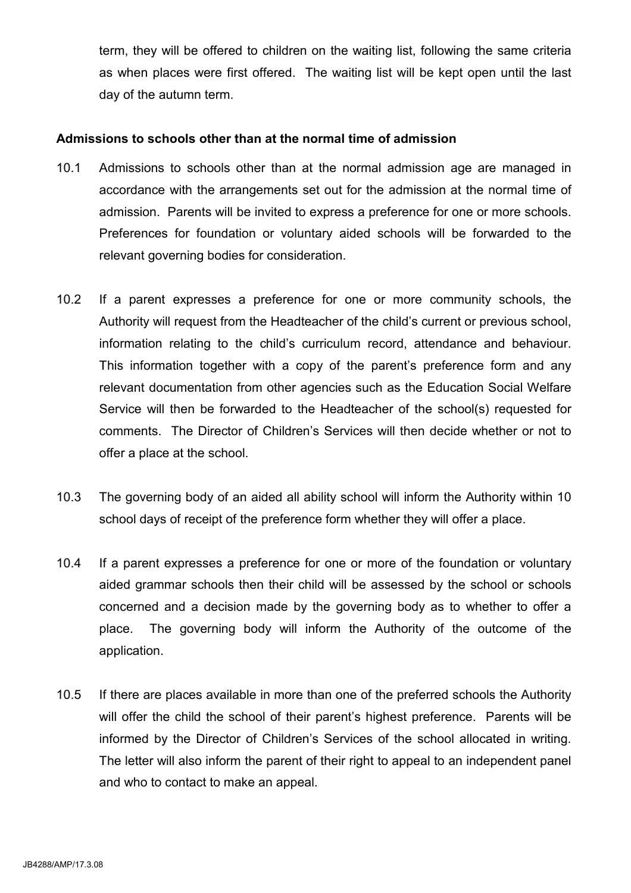term, they will be offered to children on the waiting list, following the same criteria as when places were first offered. The waiting list will be kept open until the last day of the autumn term.

#### Admissions to schools other than at the normal time of admission

- 10.1 Admissions to schools other than at the normal admission age are managed in accordance with the arrangements set out for the admission at the normal time of admission. Parents will be invited to express a preference for one or more schools. Preferences for foundation or voluntary aided schools will be forwarded to the relevant governing bodies for consideration.
- 10.2 If a parent expresses a preference for one or more community schools, the Authority will request from the Headteacher of the child's current or previous school, information relating to the child's curriculum record, attendance and behaviour. This information together with a copy of the parent's preference form and any relevant documentation from other agencies such as the Education Social Welfare Service will then be forwarded to the Headteacher of the school(s) requested for comments. The Director of Children's Services will then decide whether or not to offer a place at the school.
- 10.3 The governing body of an aided all ability school will inform the Authority within 10 school days of receipt of the preference form whether they will offer a place.
- 10.4 If a parent expresses a preference for one or more of the foundation or voluntary aided grammar schools then their child will be assessed by the school or schools concerned and a decision made by the governing body as to whether to offer a place. The governing body will inform the Authority of the outcome of the application.
- 10.5 If there are places available in more than one of the preferred schools the Authority will offer the child the school of their parent's highest preference. Parents will be informed by the Director of Children's Services of the school allocated in writing. The letter will also inform the parent of their right to appeal to an independent panel and who to contact to make an appeal.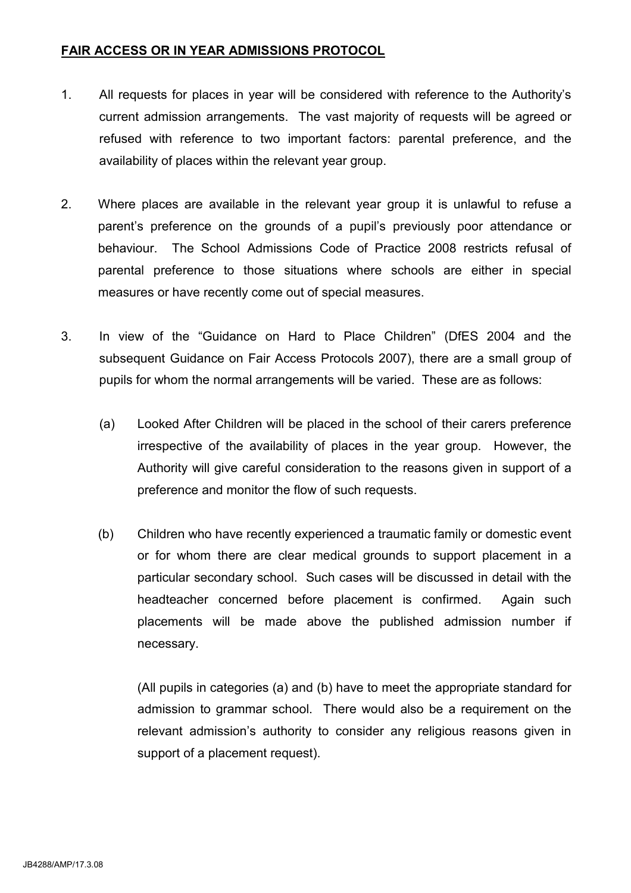## FAIR ACCESS OR IN YEAR ADMISSIONS PROTOCOL

- 1. All requests for places in year will be considered with reference to the Authority's current admission arrangements. The vast majority of requests will be agreed or refused with reference to two important factors: parental preference, and the availability of places within the relevant year group.
- 2. Where places are available in the relevant year group it is unlawful to refuse a parent's preference on the grounds of a pupil's previously poor attendance or behaviour. The School Admissions Code of Practice 2008 restricts refusal of parental preference to those situations where schools are either in special measures or have recently come out of special measures.
- 3. In view of the "Guidance on Hard to Place Children" (DfES 2004 and the subsequent Guidance on Fair Access Protocols 2007), there are a small group of pupils for whom the normal arrangements will be varied. These are as follows:
	- (a) Looked After Children will be placed in the school of their carers preference irrespective of the availability of places in the year group. However, the Authority will give careful consideration to the reasons given in support of a preference and monitor the flow of such requests.
	- (b) Children who have recently experienced a traumatic family or domestic event or for whom there are clear medical grounds to support placement in a particular secondary school. Such cases will be discussed in detail with the headteacher concerned before placement is confirmed. Again such placements will be made above the published admission number if necessary.

(All pupils in categories (a) and (b) have to meet the appropriate standard for admission to grammar school. There would also be a requirement on the relevant admission's authority to consider any religious reasons given in support of a placement request).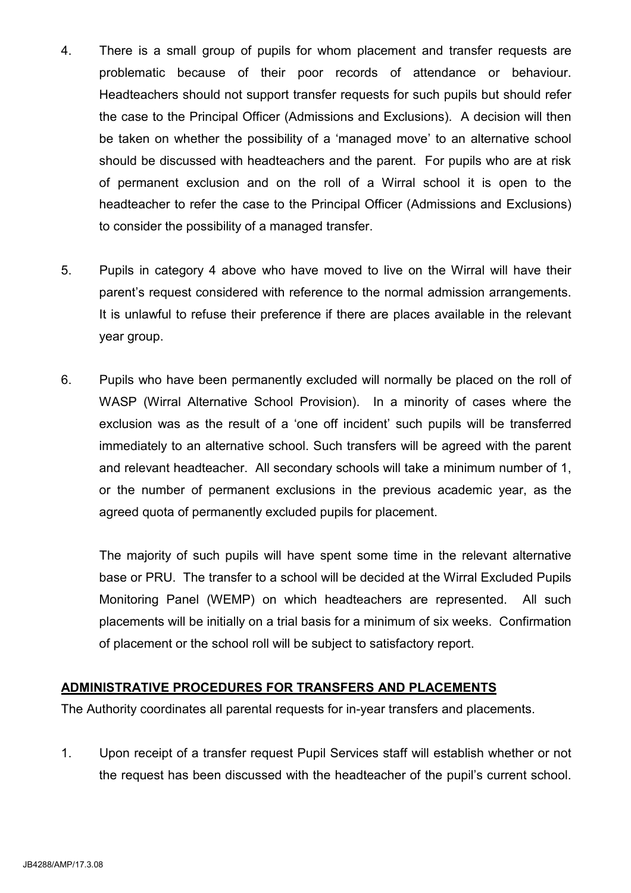- 4. There is a small group of pupils for whom placement and transfer requests are problematic because of their poor records of attendance or behaviour. Headteachers should not support transfer requests for such pupils but should refer the case to the Principal Officer (Admissions and Exclusions). A decision will then be taken on whether the possibility of a 'managed move' to an alternative school should be discussed with headteachers and the parent. For pupils who are at risk of permanent exclusion and on the roll of a Wirral school it is open to the headteacher to refer the case to the Principal Officer (Admissions and Exclusions) to consider the possibility of a managed transfer.
- 5. Pupils in category 4 above who have moved to live on the Wirral will have their parent's request considered with reference to the normal admission arrangements. It is unlawful to refuse their preference if there are places available in the relevant year group.
- 6. Pupils who have been permanently excluded will normally be placed on the roll of WASP (Wirral Alternative School Provision). In a minority of cases where the exclusion was as the result of a 'one off incident' such pupils will be transferred immediately to an alternative school. Such transfers will be agreed with the parent and relevant headteacher. All secondary schools will take a minimum number of 1, or the number of permanent exclusions in the previous academic year, as the agreed quota of permanently excluded pupils for placement.

 The majority of such pupils will have spent some time in the relevant alternative base or PRU. The transfer to a school will be decided at the Wirral Excluded Pupils Monitoring Panel (WEMP) on which headteachers are represented. All such placements will be initially on a trial basis for a minimum of six weeks. Confirmation of placement or the school roll will be subject to satisfactory report.

#### ADMINISTRATIVE PROCEDURES FOR TRANSFERS AND PLACEMENTS

The Authority coordinates all parental requests for in-year transfers and placements.

 1. Upon receipt of a transfer request Pupil Services staff will establish whether or not the request has been discussed with the headteacher of the pupil's current school.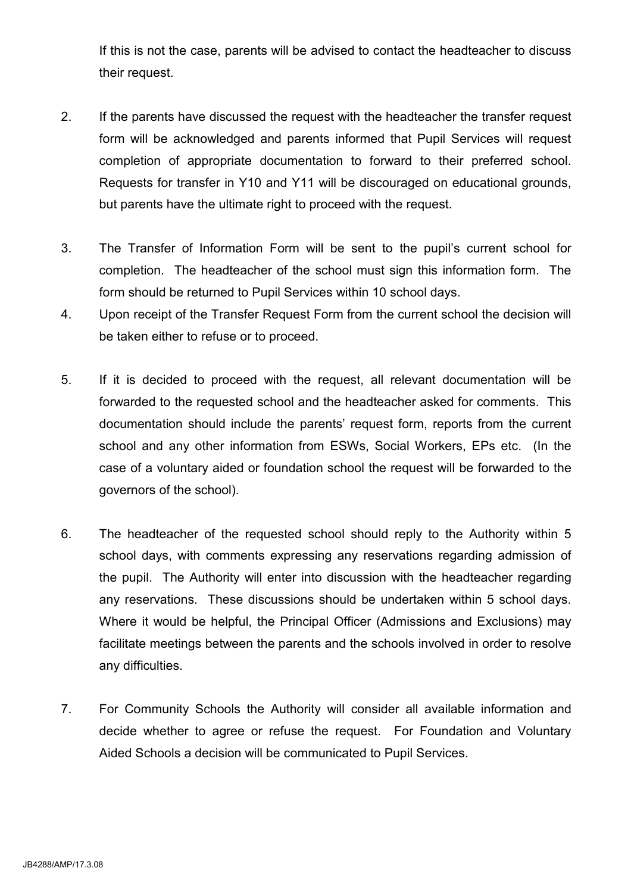If this is not the case, parents will be advised to contact the headteacher to discuss their request.

- 2. If the parents have discussed the request with the headteacher the transfer request form will be acknowledged and parents informed that Pupil Services will request completion of appropriate documentation to forward to their preferred school. Requests for transfer in Y10 and Y11 will be discouraged on educational grounds, but parents have the ultimate right to proceed with the request.
- 3. The Transfer of Information Form will be sent to the pupil's current school for completion. The headteacher of the school must sign this information form. The form should be returned to Pupil Services within 10 school days.
- 4. Upon receipt of the Transfer Request Form from the current school the decision will be taken either to refuse or to proceed.
- 5. If it is decided to proceed with the request, all relevant documentation will be forwarded to the requested school and the headteacher asked for comments. This documentation should include the parents' request form, reports from the current school and any other information from ESWs, Social Workers, EPs etc. (In the case of a voluntary aided or foundation school the request will be forwarded to the governors of the school).
- 6. The headteacher of the requested school should reply to the Authority within 5 school days, with comments expressing any reservations regarding admission of the pupil. The Authority will enter into discussion with the headteacher regarding any reservations. These discussions should be undertaken within 5 school days. Where it would be helpful, the Principal Officer (Admissions and Exclusions) may facilitate meetings between the parents and the schools involved in order to resolve any difficulties.
- 7. For Community Schools the Authority will consider all available information and decide whether to agree or refuse the request. For Foundation and Voluntary Aided Schools a decision will be communicated to Pupil Services.